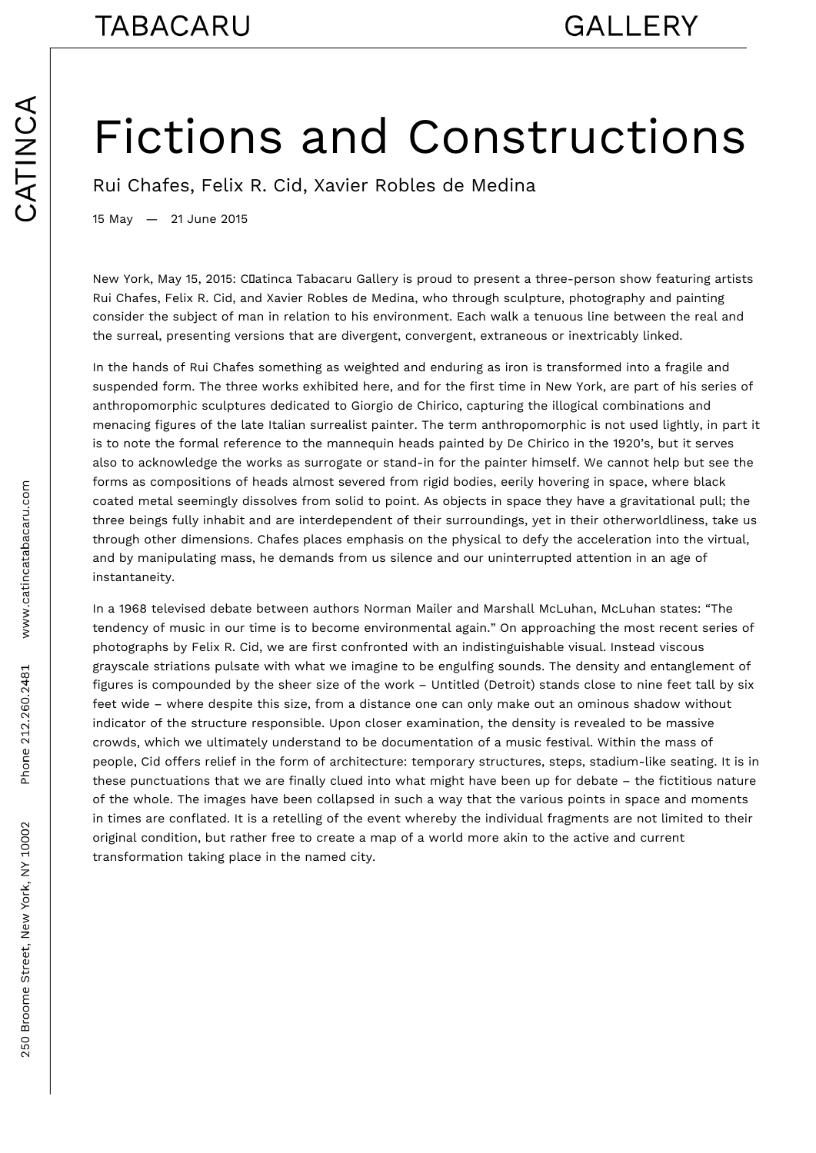## Fictions and Constructions

Rui Chafes, Felix R. Cid, Xavier Robles de Medina

15 May — 21 June 2015

New York, May 15, 2015: Clatinca Tabacaru Gallery is proud to present a three-person show featuring artists Rui Chafes, Felix R. Cid, and Xavier Robles de Medina, who through sculpture, photography and painting consider the subject of man in relation to his environment. Each walk a tenuous line between the real and the surreal, presenting versions that are divergent, convergent, extraneous or inextricably linked.

In the hands of Rui Chafes something as weighted and enduring as iron is transformed into a fragile and suspended form. The three works exhibited here, and for the first time in New York, are part of his series of anthropomorphic sculptures dedicated to Giorgio de Chirico, capturing the illogical combinations and menacing figures of the late Italian surrealist painter. The term anthropomorphic is not used lightly, in part it is to note the formal reference to the mannequin heads painted by De Chirico in the 1920's, but it serves also to acknowledge the works as surrogate or stand-in for the painter himself. We cannot help but see the forms as compositions of heads almost severed from rigid bodies, eerily hovering in space, where black coated metal seemingly dissolves from solid to point. As objects in space they have a gravitational pull; the three beings fully inhabit and are interdependent of their surroundings, yet in their otherworldliness, take us through other dimensions. Chafes places emphasis on the physical to defy the acceleration into the virtual, and by manipulating mass, he demands from us silence and our uninterrupted attention in an age of instantaneity.

In a 1968 televised debate between authors Norman Mailer and Marshall McLuhan, McLuhan states: "The tendency of music in our time is to become environmental again." On approaching the most recent series of photographs by Felix R. Cid, we are first confronted with an indistinguishable visual. Instead viscous grayscale striations pulsate with what we imagine to be engulfing sounds. The density and entanglement of figures is compounded by the sheer size of the work – Untitled (Detroit) stands close to nine feet tall by six feet wide – where despite this size, from a distance one can only make out an ominous shadow without indicator of the structure responsible. Upon closer examination, the density is revealed to be massive crowds, which we ultimately understand to be documentation of a music festival. Within the mass of people, Cid offers relief in the form of architecture: temporary structures, steps, stadium-like seating. It is in these punctuations that we are finally clued into what might have been up for debate – the fictitious nature of the whole. The images have been collapsed in such a way that the various points in space and moments in times are conflated. It is a retelling of the event whereby the individual fragments are not limited to their original condition, but rather free to create a map of a world more akin to the active and current transformation taking place in the named city.